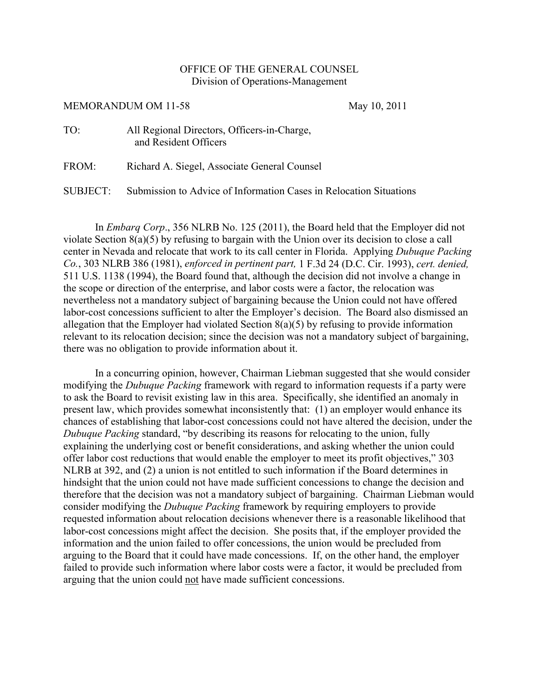## OFFICE OF THE GENERAL COUNSEL Division of Operations-Management

## MEMORANDUM OM 11-58 May 10, 2011

| TO: | All Regional Directors, Officers-in-Charge, |
|-----|---------------------------------------------|
|     | and Resident Officers                       |
|     |                                             |

FROM: Richard A. Siegel, Associate General Counsel

SUBJECT: Submission to Advice of Information Cases in Relocation Situations

In *Embarq Corp*., 356 NLRB No. 125 (2011), the Board held that the Employer did not violate Section 8(a)(5) by refusing to bargain with the Union over its decision to close a call center in Nevada and relocate that work to its call center in Florida. Applying *Dubuque Packing Co.*, 303 NLRB 386 (1981), *enforced in pertinent part,* 1 F.3d 24 (D.C. Cir. 1993), *cert. denied,* 511 U.S. 1138 (1994), the Board found that, although the decision did not involve a change in the scope or direction of the enterprise, and labor costs were a factor, the relocation was nevertheless not a mandatory subject of bargaining because the Union could not have offered labor-cost concessions sufficient to alter the Employer's decision. The Board also dismissed an allegation that the Employer had violated Section 8(a)(5) by refusing to provide information relevant to its relocation decision; since the decision was not a mandatory subject of bargaining, there was no obligation to provide information about it.

In a concurring opinion, however, Chairman Liebman suggested that she would consider modifying the *Dubuque Packing* framework with regard to information requests if a party were to ask the Board to revisit existing law in this area. Specifically, she identified an anomaly in present law, which provides somewhat inconsistently that: (1) an employer would enhance its chances of establishing that labor-cost concessions could not have altered the decision, under the *Dubuque Packing* standard, "by describing its reasons for relocating to the union, fully explaining the underlying cost or benefit considerations, and asking whether the union could offer labor cost reductions that would enable the employer to meet its profit objectives," 303 NLRB at 392, and (2) a union is not entitled to such information if the Board determines in hindsight that the union could not have made sufficient concessions to change the decision and therefore that the decision was not a mandatory subject of bargaining. Chairman Liebman would consider modifying the *Dubuque Packing* framework by requiring employers to provide requested information about relocation decisions whenever there is a reasonable likelihood that labor-cost concessions might affect the decision. She posits that, if the employer provided the information and the union failed to offer concessions, the union would be precluded from arguing to the Board that it could have made concessions. If, on the other hand, the employer failed to provide such information where labor costs were a factor, it would be precluded from arguing that the union could not have made sufficient concessions.